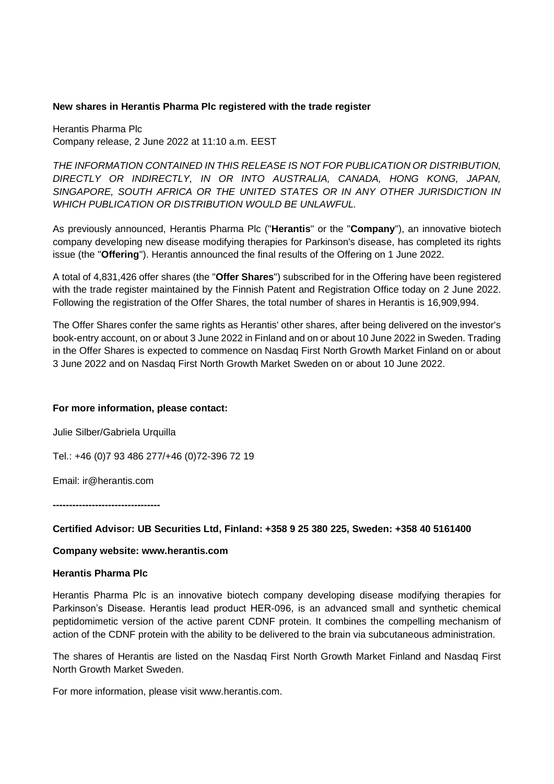## **New shares in Herantis Pharma Plc registered with the trade register**

Herantis Pharma Plc Company release, 2 June 2022 at 11:10 a.m. EEST

*THE INFORMATION CONTAINED IN THIS RELEASE IS NOT FOR PUBLICATION OR DISTRIBUTION, DIRECTLY OR INDIRECTLY, IN OR INTO AUSTRALIA, CANADA, HONG KONG, JAPAN, SINGAPORE, SOUTH AFRICA OR THE UNITED STATES OR IN ANY OTHER JURISDICTION IN WHICH PUBLICATION OR DISTRIBUTION WOULD BE UNLAWFUL.*

As previously announced, Herantis Pharma Plc ("**Herantis**" or the "**Company**"), an innovative biotech company developing new disease modifying therapies for Parkinson's disease, has completed its rights issue (the "**Offering**"). Herantis announced the final results of the Offering on 1 June 2022.

A total of 4,831,426 offer shares (the "**Offer Shares**") subscribed for in the Offering have been registered with the trade register maintained by the Finnish Patent and Registration Office today on 2 June 2022. Following the registration of the Offer Shares, the total number of shares in Herantis is 16,909,994.

The Offer Shares confer the same rights as Herantis' other shares, after being delivered on the investor's book-entry account, on or about 3 June 2022 in Finland and on or about 10 June 2022 in Sweden. Trading in the Offer Shares is expected to commence on Nasdaq First North Growth Market Finland on or about 3 June 2022 and on Nasdaq First North Growth Market Sweden on or about 10 June 2022.

## **For more information, please contact:**

Julie Silber/Gabriela Urquilla

Tel.: +46 (0)7 93 486 277/+46 (0)72-396 72 19

Email: ir@herantis.com

**---------------------------------**

## **Certified Advisor: UB Securities Ltd, Finland: +358 9 25 380 225, Sweden: +358 40 5161400**

## **Company website: www.herantis.com**

## **Herantis Pharma Plc**

Herantis Pharma Plc is an innovative biotech company developing disease modifying therapies for Parkinson's Disease. Herantis lead product HER-096, is an advanced small and synthetic chemical peptidomimetic version of the active parent CDNF protein. It combines the compelling mechanism of action of the CDNF protein with the ability to be delivered to the brain via subcutaneous administration.

The shares of Herantis are listed on the Nasdaq First North Growth Market Finland and Nasdaq First North Growth Market Sweden.

For more information, please visit [www.herantis.com.](https://www.herantis.com/)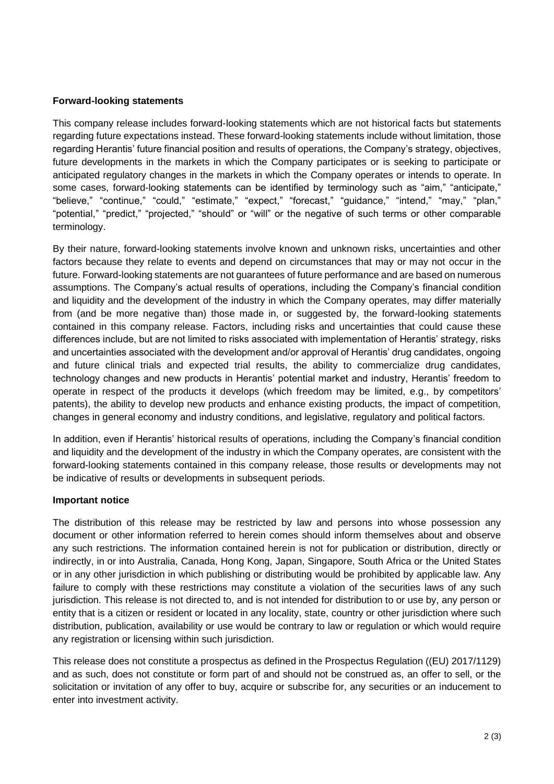# **Forward-looking statements**

This company release includes forward-looking statements which are not historical facts but statements regarding future expectations instead. These forward-looking statements include without limitation, those regarding Herantis' future financial position and results of operations, the Company's strategy, objectives, future developments in the markets in which the Company participates or is seeking to participate or anticipated regulatory changes in the markets in which the Company operates or intends to operate. In some cases, forward-looking statements can be identified by terminology such as "aim," "anticipate," "believe," "continue," "could," "estimate," "expect," "forecast," "guidance," "intend," "may," "plan," "potential," "predict," "projected," "should" or "will" or the negative of such terms or other comparable terminology.

By their nature, forward-looking statements involve known and unknown risks, uncertainties and other factors because they relate to events and depend on circumstances that may or may not occur in the future. Forward-looking statements are not guarantees of future performance and are based on numerous assumptions. The Company's actual results of operations, including the Company's financial condition and liquidity and the development of the industry in which the Company operates, may differ materially from (and be more negative than) those made in, or suggested by, the forward-looking statements contained in this company release. Factors, including risks and uncertainties that could cause these differences include, but are not limited to risks associated with implementation of Herantis' strategy, risks and uncertainties associated with the development and/or approval of Herantis' drug candidates, ongoing and future clinical trials and expected trial results, the ability to commercialize drug candidates, technology changes and new products in Herantis' potential market and industry, Herantis' freedom to operate in respect of the products it develops (which freedom may be limited, e.g., by competitors' patents), the ability to develop new products and enhance existing products, the impact of competition, changes in general economy and industry conditions, and legislative, regulatory and political factors.

In addition, even if Herantis' historical results of operations, including the Company's financial condition and liquidity and the development of the industry in which the Company operates, are consistent with the forward-looking statements contained in this company release, those results or developments may not be indicative of results or developments in subsequent periods.

## **Important notice**

The distribution of this release may be restricted by law and persons into whose possession any document or other information referred to herein comes should inform themselves about and observe any such restrictions. The information contained herein is not for publication or distribution, directly or indirectly, in or into Australia, Canada, Hong Kong, Japan, Singapore, South Africa or the United States or in any other jurisdiction in which publishing or distributing would be prohibited by applicable law. Any failure to comply with these restrictions may constitute a violation of the securities laws of any such jurisdiction. This release is not directed to, and is not intended for distribution to or use by, any person or entity that is a citizen or resident or located in any locality, state, country or other jurisdiction where such distribution, publication, availability or use would be contrary to law or regulation or which would require any registration or licensing within such jurisdiction.

This release does not constitute a prospectus as defined in the Prospectus Regulation ((EU) 2017/1129) and as such, does not constitute or form part of and should not be construed as, an offer to sell, or the solicitation or invitation of any offer to buy, acquire or subscribe for, any securities or an inducement to enter into investment activity.